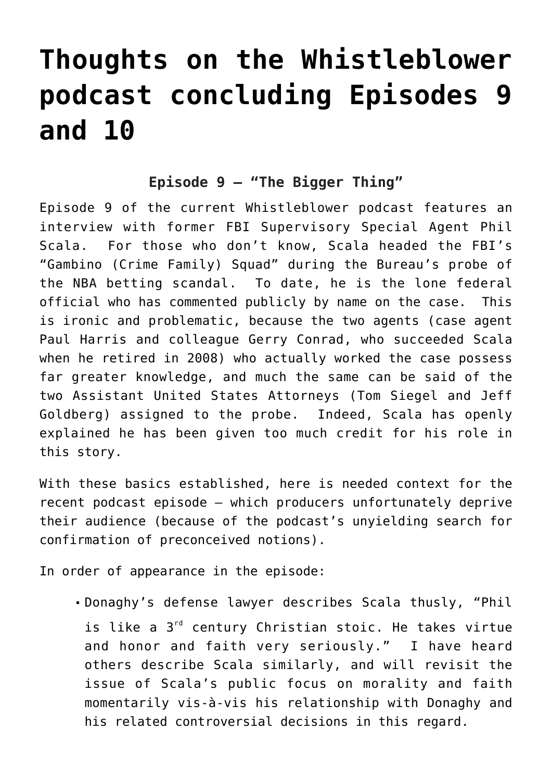# **[Thoughts on the Whistleblower](https://seanpatrickgriffin.net/thoughts-on-the-whistleblower-podcast-concluding-episodes-9-and-10/) [podcast concluding Episodes 9](https://seanpatrickgriffin.net/thoughts-on-the-whistleblower-podcast-concluding-episodes-9-and-10/) [and 10](https://seanpatrickgriffin.net/thoughts-on-the-whistleblower-podcast-concluding-episodes-9-and-10/)**

# **Episode 9 – "The Bigger Thing"**

[Episode 9](https://podcasts.apple.com/us/podcast/the-bigger-thing/id1527436649?i=1000495631066) of the current [Whistleblower podcast](https://podcasts.apple.com/us/podcast/whistleblower/id1527436649) features an interview with former FBI Supervisory Special Agent Phil Scala. For those who don't know, [Scala headed the FBI's](https://seanpatrickgriffin.net/on-mob-and-nba-betting-scanda/) ["Gambino \(Crime Family\) Squad" during the Bureau's probe of](https://seanpatrickgriffin.net/on-mob-and-nba-betting-scanda/) [the NBA betting scandal](https://seanpatrickgriffin.net/on-mob-and-nba-betting-scanda/). To date, he is the lone federal official who has commented publicly by name on the case. This is ironic and problematic, because the two agents (case agent Paul Harris and colleague Gerry Conrad, [who succeeded Scala](https://www.ticklethewire.com/2014/10/05/longtime-new-york-mob-buster-gerard-conrad-retires/) [when he retired in 2008](https://www.ticklethewire.com/2014/10/05/longtime-new-york-mob-buster-gerard-conrad-retires/)) who actually worked the case possess far greater knowledge, and much the same can be said of the two Assistant United States Attorneys (Tom Siegel and Jeff Goldberg) assigned to the probe. Indeed, Scala has openly explained he has been given too much credit for his role in this story.

With these basics established, here is needed context for the recent podcast episode – which producers unfortunately deprive their audience (because of the podcast's unyielding search for confirmation of preconceived notions).

In order of appearance in the episode:

Donaghy's defense lawyer describes Scala thusly, "Phil is like a 3<sup>rd</sup> century Christian stoic. He takes virtue and honor and faith very seriously." I have heard others describe Scala similarly, and will revisit the issue of Scala's public focus on morality and faith momentarily vis-à-vis his relationship with Donaghy and his related controversial decisions in this regard.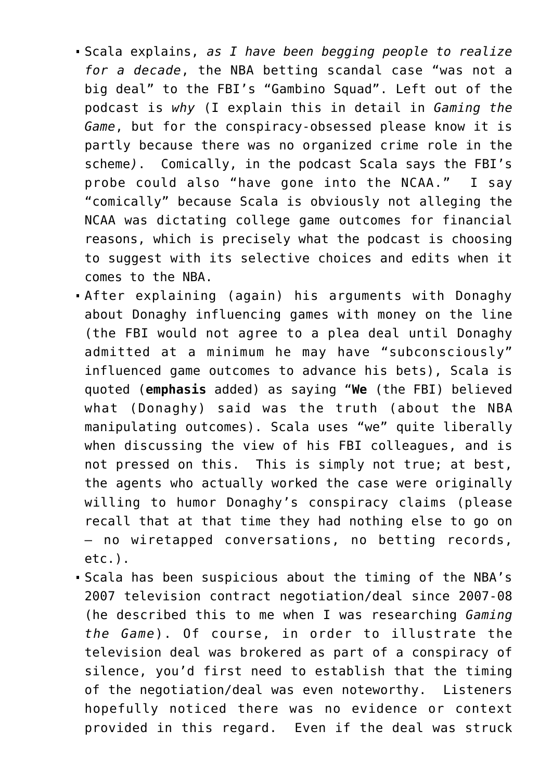- Scala explains, *[as I have been begging people to realize](https://seanpatrickgriffin.net/gaming-the-game-the-story-behind-the-nba-betting-scandal-and-the-gambler-who-made-it-happen/) [for a decade](https://seanpatrickgriffin.net/gaming-the-game-the-story-behind-the-nba-betting-scandal-and-the-gambler-who-made-it-happen/)*, the NBA betting scandal case "was not a big deal" to the FBI's "Gambino Squad". Left out of the podcast is *why* (I explain this in detail in *[Gaming the](https://seanpatrickgriffin.net/gaming-the-game-the-story-behind-the-nba-betting-scandal-and-the-gambler-who-made-it-happen/) [Game](https://seanpatrickgriffin.net/gaming-the-game-the-story-behind-the-nba-betting-scandal-and-the-gambler-who-made-it-happen/)*, but for the conspiracy-obsessed please know it is partly because [there was no organized crime role in the](https://seanpatrickgriffin.net/sports-media-is-willingly-allowing-its-audiences-to-be-suckered-by-former-nba-referee-tim-donaghy-again-and-phillys-mike-missanelli-is-exhibit-a/) [scheme](https://seanpatrickgriffin.net/sports-media-is-willingly-allowing-its-audiences-to-be-suckered-by-former-nba-referee-tim-donaghy-again-and-phillys-mike-missanelli-is-exhibit-a/)*)*. Comically, in the podcast Scala says the FBI's probe could also "have gone into the NCAA." I say "comically" because Scala is obviously not alleging the NCAA was dictating college game outcomes for financial reasons, which is precisely what the podcast is choosing to suggest with its selective choices and edits when it comes to the NBA.
- After explaining (again) his arguments with Donaghy about Donaghy influencing games with money on the line (the FBI would not agree to a plea deal until Donaghy admitted at a minimum he may have "subconsciously" influenced game outcomes to advance his bets), Scala is quoted (**emphasis** added) as saying "**We** (the FBI) believed what (Donaghy) said was the truth (about the NBA manipulating outcomes). Scala uses "we" quite liberally when discussing the view of his FBI colleagues, and is not pressed on this. This is simply not true; at best, the agents who actually worked the case were originally willing to humor Donaghy's conspiracy claims (please recall that at that time they had nothing else to go on – no wiretapped conversations, no betting records, etc.).
- Scala has been suspicious about the timing of the NBA's 2007 television contract negotiation/deal since 2007-08 (he described this to me when I was researching *Gaming the Game*). Of course, in order to illustrate the television deal was brokered as part of a conspiracy of silence, you'd first need to establish that the timing of the negotiation/deal was even noteworthy. Listeners hopefully noticed there was no evidence or context provided in this regard. Even if the deal was struck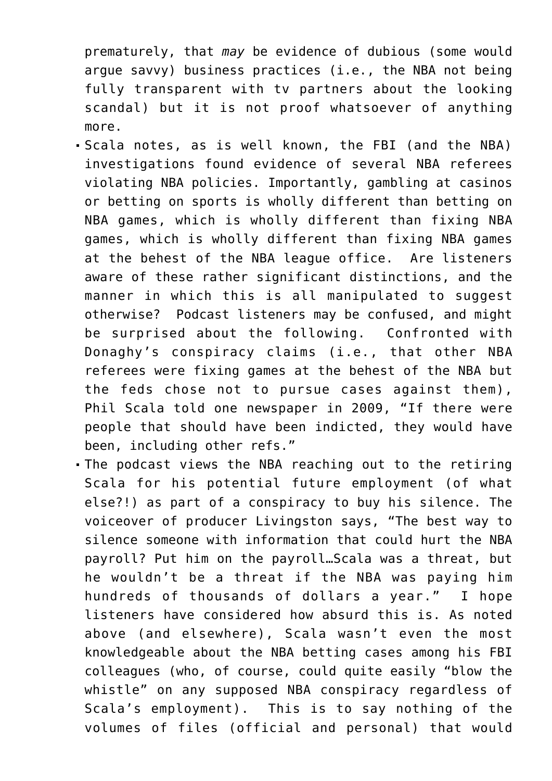prematurely, that *may* be evidence of dubious (some would argue savvy) business practices (i.e., the NBA not being fully transparent with tv partners about the looking scandal) but it is not proof whatsoever of anything more.

- Scala notes, as is well known, the FBI (and the NBA) investigations found evidence of several NBA referees violating NBA policies. Importantly, gambling at casinos or betting on sports is wholly different than betting on NBA games, which is wholly different than fixing NBA games, which is wholly different than fixing NBA games at the behest of the NBA league office. Are listeners aware of these rather significant distinctions, and the manner in which this is all manipulated to suggest otherwise? Podcast listeners may be confused, and might be surprised about the following. Confronted with Donaghy's conspiracy claims (i.e., that other NBA referees were fixing games at the behest of the NBA but the feds chose not to pursue cases against them), [Phil Scala told one newspaper in 2009](https://seanpatrickgriffin.net/donaghy-claims-post-november-2009/), "If there were people that should have been indicted, they would have been, including other refs."
- The podcast views the NBA reaching out to the retiring Scala for his potential future employment (of what else?!) as part of a conspiracy to buy his silence. The voiceover of producer Livingston says, "The best way to silence someone with information that could hurt the NBA payroll? Put him on the payroll…Scala was a threat, but he wouldn't be a threat if the NBA was paying him hundreds of thousands of dollars a year." I hope listeners have considered how absurd this is. As noted above (and elsewhere), Scala wasn't even the most knowledgeable about the NBA betting cases among his FBI colleagues (who, of course, could quite easily "blow the whistle" on any supposed NBA conspiracy regardless of Scala's employment). This is to say nothing of the volumes of files (official and personal) that would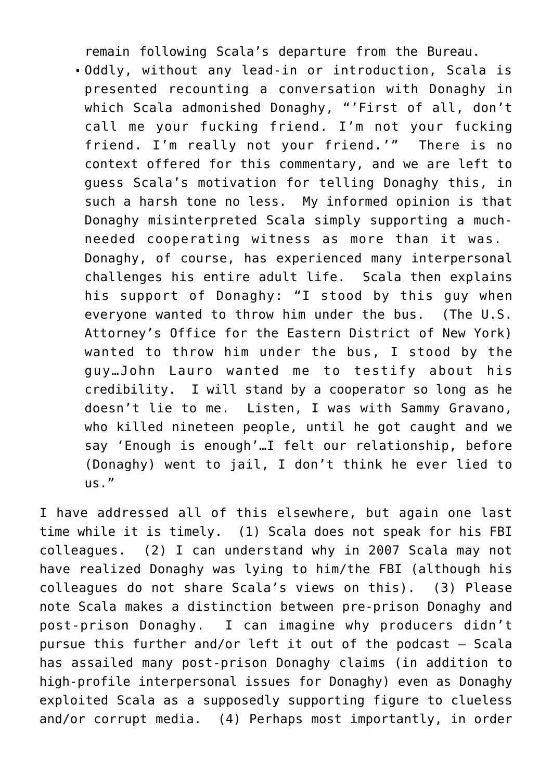remain following Scala's departure from the Bureau.

Oddly, without any lead-in or introduction, Scala is presented recounting a conversation with Donaghy in which Scala admonished Donaghy, "'First of all, don't call me your fucking friend. I'm not your fucking friend. I'm really not your friend.'" There is no context offered for this commentary, and we are left to guess Scala's motivation for telling Donaghy this, in such a harsh tone no less. My informed opinion is that Donaghy misinterpreted Scala simply supporting a muchneeded cooperating witness as more than it was. Donaghy, of course, has experienced [many interpersonal](https://seanpatrickgriffin.net/whyformernbareferee/) [challenges his entire adult life](https://seanpatrickgriffin.net/whyformernbareferee/). Scala then explains his support of Donaghy: "I stood by this guy when everyone wanted to throw him under the bus. (The U.S. Attorney's Office for the Eastern District of New York) wanted to throw him under the bus, I stood by the guy…John Lauro wanted me to testify about his credibility. I will stand by a cooperator so long as he doesn't lie to me. Listen, I was with Sammy Gravano, who killed nineteen people, until he got caught and we say 'Enough is enough'…I felt our relationship, before (Donaghy) went to jail, I don't think he ever lied to us."

I have addressed all of this elsewhere, but again one last time while it is timely. (1) Scala does not speak for his FBI colleagues. (2) I can understand why in 2007 Scala may not have realized Donaghy was lying to him/the FBI (although his colleagues do not share Scala's views on this). (3) Please note Scala makes a distinction between pre-prison Donaghy and post-prison Donaghy. I can imagine why producers didn't pursue this further and/or left it out of the podcast – Scala has assailed many post-prison Donaghy claims (in addition to high-profile interpersonal issues for Donaghy) even as Donaghy exploited Scala as a supposedly supporting figure to clueless and/or corrupt media. (4) Perhaps most importantly, in order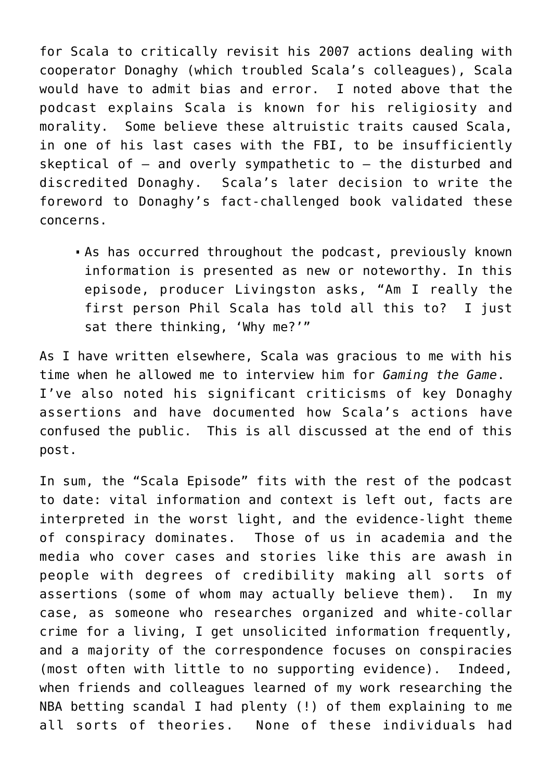for Scala to critically revisit his 2007 actions dealing with cooperator Donaghy (which troubled Scala's colleagues), Scala would have to admit bias and error. I noted above that the podcast explains Scala is known for his religiosity and morality. Some believe these altruistic traits caused Scala, in one of his last cases with the FBI, to be insufficiently skeptical of – and overly sympathetic to – the disturbed and discredited Donaghy. Scala's later decision to write the foreword to [Donaghy's fact-challenged book](https://seanpatrickgriffin.net/my-assessments-of-tim-donaghys-claims/) validated these concerns.

As has occurred throughout the podcast, previously known information is presented as new or noteworthy. In this episode, producer Livingston asks, "Am I really the first person Phil Scala has told all this to? I just sat there thinking, 'Why me?'"

As I have written elsewhere, Scala was gracious to me with his time when he allowed me to interview him for *[Gaming the Game](https://seanpatrickgriffin.net/gaming-the-game-the-story-behind-the-nba-betting-scandal-and-the-gambler-who-made-it-happen/)*. I've also noted his significant criticisms of key Donaghy assertions and have documented how Scala's actions have confused the public. This is all discussed at the end of this post.

In sum, the "Scala Episode" fits with the rest of the podcast to date: vital information and context is left out, facts are interpreted in the worst light, and the evidence-light theme of conspiracy dominates. Those of us in academia and the media who cover cases and stories like this are awash in people with degrees of credibility making all sorts of assertions (some of whom may actually believe them). In my case, as someone who researches organized and white-collar crime for a living, I get unsolicited information frequently, and a majority of the correspondence focuses on conspiracies (most often with little to no supporting evidence). Indeed, when friends and colleagues learned of my work researching the NBA betting scandal I had plenty (!) of them explaining to me all sorts of theories. None of these individuals had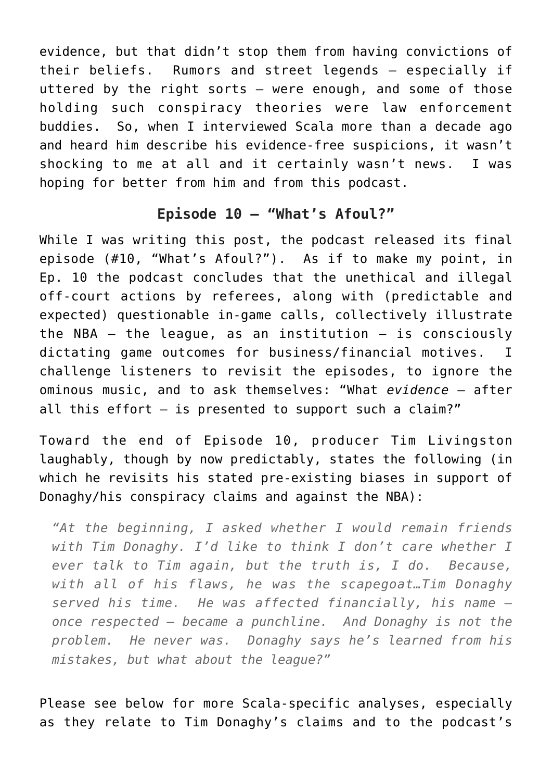evidence, but that didn't stop them from having convictions of their beliefs. Rumors and street legends – especially if uttered by the right sorts – were enough, and some of those holding such conspiracy theories were law enforcement buddies. So, when I interviewed Scala more than a decade ago and heard him describe his evidence-free suspicions, it wasn't shocking to me at all and it certainly wasn't news. I was hoping for better from him and from this podcast.

#### **Episode 10 – "What's Afoul?"**

While I was writing this post, the podcast released its final episode [\(#10, "What's Afoul?"\)](https://podcasts.apple.com/us/podcast/whats-afoul/id1527436649?i=1000496449497). As if to make my point, in Ep. 10 the podcast concludes that the unethical and illegal off-court actions by referees, along with (predictable and expected) questionable in-game calls, collectively illustrate the NBA  $-$  the league, as an institution  $-$  is consciously dictating game outcomes for business/financial motives. I challenge listeners to revisit the episodes, to ignore the ominous music, and to ask themselves: "What *evidence* – after all this effort – is presented to support such a claim?"

Toward the end of Episode 10, producer Tim Livingston laughably, though by now predictably, states the following (in which he revisits his stated pre-existing biases in support of Donaghy/his conspiracy claims and against the NBA):

*"At the beginning, I asked whether I would remain friends with Tim Donaghy. I'd like to think I don't care whether I ever talk to Tim again, but the truth is, I do. Because, with all of his flaws, he was the scapegoat…Tim Donaghy served his time. He was affected financially, his name – once respected – became a punchline. And Donaghy is not the problem. He never was. Donaghy says he's learned from his mistakes, but what about the league?"*

Please see below for more Scala-specific analyses, especially as they relate to Tim Donaghy's claims and to the podcast's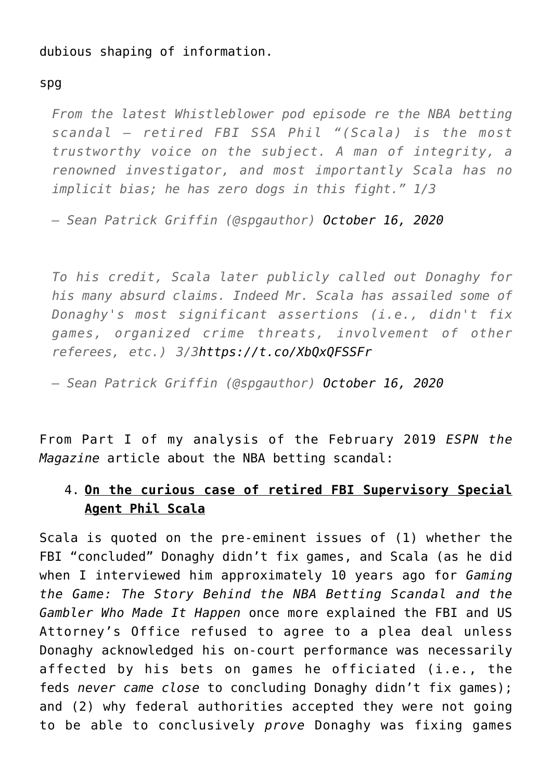dubious shaping of information.

spg

*From the latest Whistleblower pod episode re the NBA betting scandal – retired FBI SSA Phil "(Scala) is the most trustworthy voice on the subject. A man of integrity, a renowned investigator, and most importantly Scala has no implicit bias; he has zero dogs in this fight." 1/3*

*— Sean Patrick Griffin (@spgauthor) [October 16, 2020](https://twitter.com/spgauthor/status/1317194632888012806?ref_src=twsrc%5Etfw)*

*To his credit, Scala later publicly called out Donaghy for his many absurd claims. Indeed Mr. Scala has assailed some of Donaghy's most significant assertions (i.e., didn't fix games, organized crime threats, involvement of other referees, etc.) 3/[3https://t.co/XbQxQFSSFr](https://t.co/XbQxQFSSFr)*

*— Sean Patrick Griffin (@spgauthor) [October 16, 2020](https://twitter.com/spgauthor/status/1317194634578350082?ref_src=twsrc%5Etfw)*

From [Part I of my analysis of the February 2019](https://seanpatrickgriffin.net/my-comments-on-the-espn-the-magazine-piece-about-tim-donaghy-and-the-2003-07-nba-betting-scandal-part-i/) *[ESPN the](https://seanpatrickgriffin.net/my-comments-on-the-espn-the-magazine-piece-about-tim-donaghy-and-the-2003-07-nba-betting-scandal-part-i/) [Magazine](https://seanpatrickgriffin.net/my-comments-on-the-espn-the-magazine-piece-about-tim-donaghy-and-the-2003-07-nba-betting-scandal-part-i/)* [article](https://seanpatrickgriffin.net/my-comments-on-the-espn-the-magazine-piece-about-tim-donaghy-and-the-2003-07-nba-betting-scandal-part-i/) about the NBA betting scandal:

## 4. **On the curious case of retired FBI Supervisory Special Agent Phil Scala**

Scala is quoted on the pre-eminent issues of (1) whether the FBI "concluded" Donaghy didn't fix games, and Scala (as he did when I interviewed him approximately 10 years ago for *[Gaming](https://seanpatrickgriffin.net/gaming-the-game-the-story-behind-the-nba-betting-scandal-and-the-gambler-who-made-it-happen/) [the Game: The Story Behind the NBA Betting Scandal and the](https://seanpatrickgriffin.net/gaming-the-game-the-story-behind-the-nba-betting-scandal-and-the-gambler-who-made-it-happen/) [Gambler Who Made It Happen](https://seanpatrickgriffin.net/gaming-the-game-the-story-behind-the-nba-betting-scandal-and-the-gambler-who-made-it-happen/)* once more explained the FBI and US Attorney's Office refused to agree to a plea deal unless Donaghy acknowledged his on-court performance was necessarily affected by his bets on games he officiated (i.e., the feds *never came close* to concluding Donaghy didn't fix games); and (2) why federal authorities accepted they were not going to be able to conclusively *prove* Donaghy was fixing games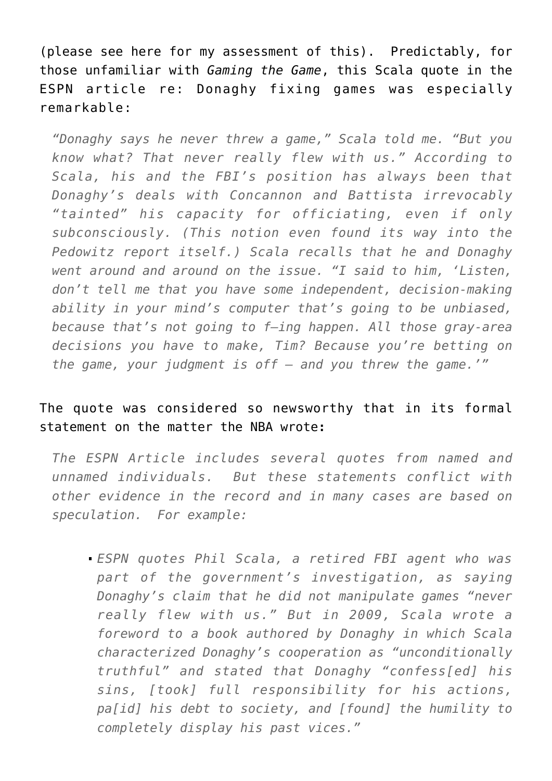(please see [here](http://seanpatrickgriffin.blogspot.com/2019/02/on-fbi-and-nba-concluding-tim-donaghy.html) for my assessment of this). Predictably, for those unfamiliar with *Gaming the Game*, this Scala quote in the ESPN article re: Donaghy fixing games was especially remarkable:

*"Donaghy says he never threw a game," Scala told me. "But you know what? That never really flew with us." According to Scala, his and the FBI's position has always been that Donaghy's deals with Concannon and Battista irrevocably "tainted" his capacity for officiating, even if only subconsciously. (This notion even found its way into the Pedowitz report itself.) Scala recalls that he and Donaghy went around and around on the issue. "I said to him, 'Listen, don't tell me that you have some independent, decision-making ability in your mind's computer that's going to be unbiased, because that's not going to f—ing happen. All those gray-area decisions you have to make, Tim? Because you're betting on the game, your judgment is off — and you threw the game.'"*

### The quote was considered so newsworthy that in [its formal](https://official.nba.com/nba-response-espn-tim-donaghy-story/) [statement on the matter the NBA wrote](https://official.nba.com/nba-response-espn-tim-donaghy-story/)**:**

*The ESPN Article includes several quotes from named and unnamed individuals. But these statements conflict with other evidence in the record and in many cases are based on speculation. For example:*

*ESPN quotes Phil Scala, a retired FBI agent who was part of the government's investigation, as saying Donaghy's claim that he did not manipulate games "never really flew with us." But in 2009, Scala wrote a foreword to a book authored by Donaghy in which Scala characterized Donaghy's cooperation as "unconditionally truthful" and stated that Donaghy "confess[ed] his sins, [took] full responsibility for his actions, pa[id] his debt to society, and [found] the humility to completely display his past vices."*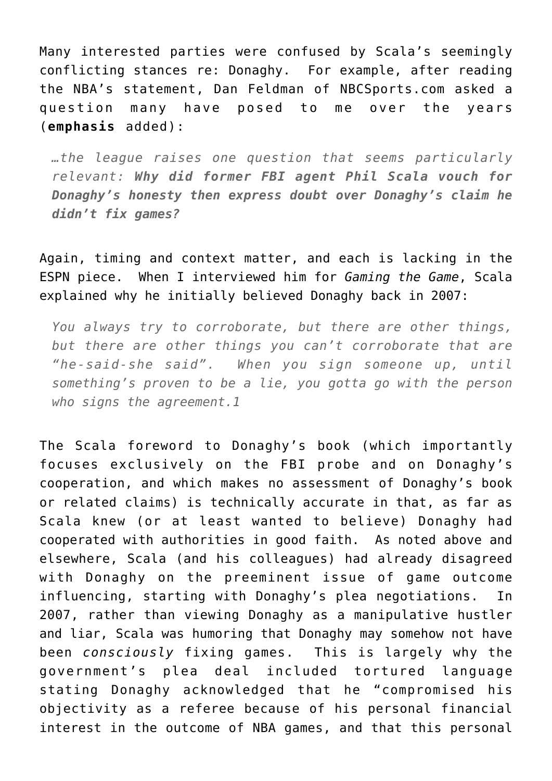Many interested parties were confused by Scala's seemingly conflicting stances re: Donaghy. For example, after reading the NBA's statement, [Dan Feldman of NBCSports.com asked a](https://nba.nbcsports.com/2019/02/22/nba-emphasizes-its-investigation-never-concluded-tim-donaghy-didnt-fix-games/) [question](https://nba.nbcsports.com/2019/02/22/nba-emphasizes-its-investigation-never-concluded-tim-donaghy-didnt-fix-games/) many have posed to me over the years (**emphasis** added):

*…the league raises one question that seems particularly relevant: Why did former FBI agent Phil Scala vouch for Donaghy's honesty then express doubt over Donaghy's claim he didn't fix games?*

Again, timing and context matter, and each is lacking in the ESPN piece. When I interviewed him for *[Gaming the Game](https://seanpatrickgriffin.net/gaming-the-game-the-story-behind-the-nba-betting-scandal-and-the-gambler-who-made-it-happen/)*, Scala explained why he initially believed Donaghy back in 2007:

*You always try to corroborate, but there are other things, but there are other things you can't corroborate that are "he-said-she said". When you sign someone up, until something's proven to be a lie, you gotta go with the person who signs the agreement.1*

The Scala foreword to Donaghy's book (which importantly focuses exclusively on the FBI probe and on Donaghy's cooperation, and which makes no assessment of Donaghy's book or related claims) is technically accurate in that, as far as Scala knew (or at least wanted to believe) Donaghy had cooperated with authorities in good faith. As noted above and elsewhere, Scala (and his colleagues) had already disagreed with Donaghy on the preeminent issue of game outcome influencing, starting with Donaghy's plea negotiations. In 2007, rather than viewing Donaghy as a manipulative hustler and liar, Scala was humoring that Donaghy may somehow not have been *consciously* fixing games. This is largely why the government's plea deal included tortured language stating Donaghy acknowledged that he "compromised his objectivity as a referee because of his personal financial interest in the outcome of NBA games, and that this personal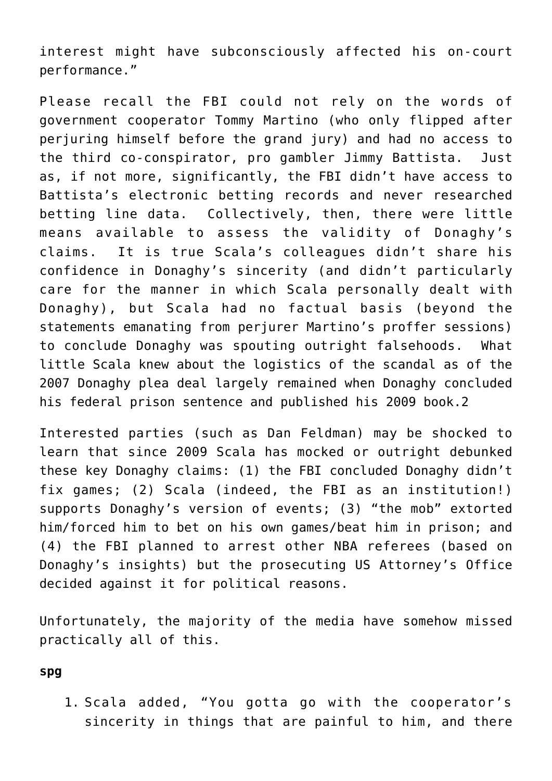interest might have subconsciously affected his on-court performance."

Please recall the FBI could not rely on the words of government cooperator Tommy Martino (who only flipped after perjuring himself before the grand jury) and had no access to the third co-conspirator, pro gambler Jimmy Battista. Just as, if not more, significantly, the FBI didn't have access to Battista's electronic betting records and never researched betting line data. Collectively, then, there were little means available to assess the validity of Donaghy's claims. It is true Scala's colleagues didn't share his confidence in Donaghy's sincerity (and didn't particularly care for the manner in which Scala personally dealt with Donaghy), but Scala had no factual basis (beyond the statements emanating from perjurer Martino's proffer sessions) to conclude Donaghy was spouting outright falsehoods. What little Scala knew about the logistics of the scandal as of the 2007 Donaghy plea deal largely remained when Donaghy concluded his federal prison sentence and published his 2009 book.2

Interested parties (such as Dan Feldman) may be shocked to learn that since 2009 Scala has mocked or outright debunked these key Donaghy claims: (1) [the FBI concluded Donaghy didn't](http://seanpatrickgriffin.blogspot.com/2019/02/on-fbi-and-nba-concluding-tim-donaghy.html) [fix games;](http://seanpatrickgriffin.blogspot.com/2019/02/on-fbi-and-nba-concluding-tim-donaghy.html) (2) [Scala \(indeed, the FBI as an institution!\)](http://nbascandal.blogspot.com/p/gaming-game-story-behind-nba-betting.html) [supports Donaghy's version of events](http://nbascandal.blogspot.com/p/gaming-game-story-behind-nba-betting.html); (3) ["the mob" extorted](https://nbascandal.blogspot.com/2011/02/on-mob-and-nba-betting-scandal.html) [him/forced him to bet on his own games/beat him in prison;](https://nbascandal.blogspot.com/2011/02/on-mob-and-nba-betting-scandal.html) and (4) [the FBI planned to arrest other NBA referees \(based on](https://www.philly.com/philly/hp/sports/20091210_Do_you_believe_disgraced_ref_Donaghy_.html) [Donaghy's insights\) but the prosecuting US Attorney's Office](https://www.philly.com/philly/hp/sports/20091210_Do_you_believe_disgraced_ref_Donaghy_.html) [decided against it for political reasons.](https://www.philly.com/philly/hp/sports/20091210_Do_you_believe_disgraced_ref_Donaghy_.html)

Unfortunately, the majority of the media have somehow missed practically all of this.

#### **spg**

1. Scala added, "You gotta go with the cooperator's sincerity in things that are painful to him, and there